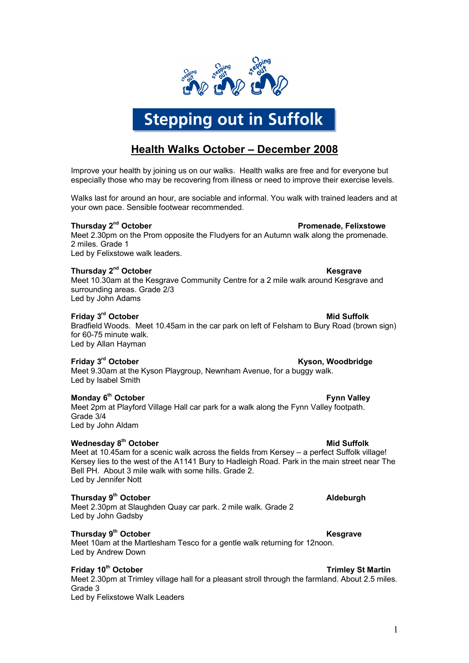

# **Stepping out in Suffolk**

# **Health Walks October – December 2008**

Improve your health by joining us on our walks. Health walks are free and for everyone but especially those who may be recovering from illness or need to improve their exercise levels.

Walks last for around an hour, are sociable and informal. You walk with trained leaders and at your own pace. Sensible footwear recommended.

### **Thursday 2**

**Promenade, Felixstowe** Meet 2.30pm on the Prom opposite the Fludyers for an Autumn walk along the promenade. 2 miles. Grade 1

Led by Felixstowe walk leaders.

### $\blacksquare$  Thursday 2 $\blacksquare$  October  $\blacksquare$  October  $\blacksquare$

Meet 10.30am at the Kesgrave Community Centre for a 2 mile walk around Kesgrave and surrounding areas. Grade 2/3 Led by John Adams

# **Friday 3 rd October Mid Suffolk**

Bradfield Woods. Meet 10.45am in the car park on left of Felsham to Bury Road (brown sign) for 60-75 minute walk. Led by Allan Hayman

### **Friday 3**

**Kyson, Woodbridge** Meet 9.30am at the Kyson Playgroup, Newnham Avenue, for a buggy walk. Led by Isabel Smith

### Monday 6<sup>th</sup> October

**Fynn Valley** Meet 2pm at Playford Village Hall car park for a walk along the Fynn Valley footpath. Grade 3/4 Led by John Aldam

## **Wednesday 8 th October Mid Suffolk**

Meet at 10.45am for a scenic walk across the fields from Kersey – a perfect Suffolk village! Kersey lies to the west of the A1141 Bury to Hadleigh Road. Park in the main street near The Bell PH. About 3 mile walk with some hills. Grade 2. Led by Jennifer Nott

# **Thursday 9**

Meet 2.30pm at Slaughden Quay car park. 2 mile walk. Grade 2 Led by John Gadsby

# **Thursday 9 th October Kesgrave**

Meet 10am at the Martlesham Tesco for a gentle walk returning for 12noon. Led by Andrew Down

# **Friday 10<sup>th</sup> October Trimley St Martin**

Meet 2.30pm at Trimley village hall for a pleasant stroll through the farmland. About 2.5 miles. Grade 3 Led by Felixstowe Walk Leaders

# **th October Aldeburgh**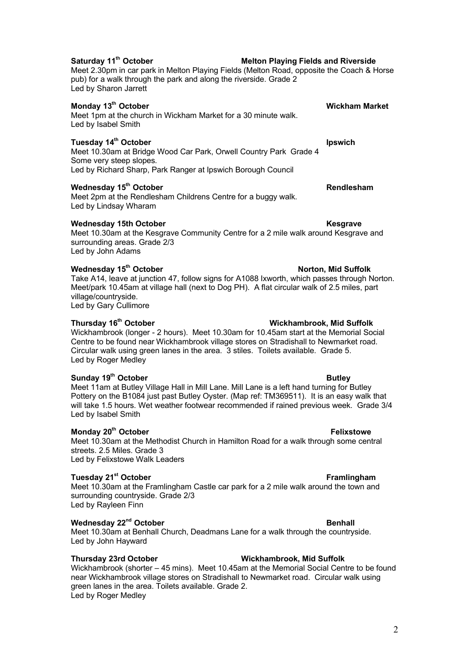# **Saturday 11th October Melton Playing Fields and Riverside**

Meet 2.30pm in car park in Melton Playing Fields (Melton Road, opposite the Coach & Horse pub) for a walk through the park and along the riverside. Grade 2 Led by Sharon Jarrett

# **Monday 13th October Wickham Market**

Meet 1pm at the church in Wickham Market for a 30 minute walk. Led by Isabel Smith

# **Tuesday 14<sup>th</sup> October Ipswich** Ipswich

Meet 10.30am at Bridge Wood Car Park, Orwell Country Park Grade 4 Some very steep slopes. Led by Richard Sharp, Park Ranger at Ipswich Borough Council

### **Wednesday 15th October Rendlesham**

Meet 2pm at the Rendlesham Childrens Centre for a buggy walk. Led by Lindsay Wharam

### **Wednesday 15th October Kesgrave**

Meet 10.30am at the Kesgrave Community Centre for a 2 mile walk around Kesgrave and surrounding areas. Grade 2/3 Led by John Adams

### **Wednesday 15th October Norton, Mid Suffolk**

Take A14, leave at junction 47, follow signs for A1088 Ixworth, which passes through Norton. Meet/park 10.45am at village hall (next to Dog PH). A flat circular walk of 2.5 miles, part village/countryside.

Led by Gary Cullimore

### **Thursday 16th October Wickhambrook, Mid Suffolk**

Wickhambrook (longer - 2 hours). Meet 10.30am for 10.45am start at the Memorial Social Centre to be found near Wickhambrook village stores on Stradishall to Newmarket road. Circular walk using green lanes in the area. 3 stiles. Toilets available. Grade 5. Led by Roger Medley

### **Sunday 19<sup>th</sup> October Butley Butley**

Meet 11am at Butley Village Hall in Mill Lane. Mill Lane is a left hand turning for Butley Pottery on the B1084 just past Butley Oyster. (Map ref: TM369511). It is an easy walk that will take 1.5 hours. Wet weather footwear recommended if rained previous week. Grade 3/4 Led by Isabel Smith

### **Monday 20<sup>th</sup> October <b>Felixstowe** Felixstowe

Meet 10.30am at the Methodist Church in Hamilton Road for a walk through some central streets. 2.5 Miles. Grade 3 Led by Felixstowe Walk Leaders

### **Tuesday 21st October Framlingham**

Meet 10.30am at the Framlingham Castle car park for a 2 mile walk around the town and surrounding countryside. Grade 2/3 Led by Rayleen Finn

# $\blacksquare$  **Wednesday 22** $\blacksquare$ **<sup>nd</sup> October**  $\blacksquare$  **Benhall**

Meet 10.30am at Benhall Church, Deadmans Lane for a walk through the countryside. Led by John Hayward

### **Thursday 23rd October Wickhambrook, Mid Suffolk**

Wickhambrook (shorter – 45 mins). Meet 10.45am at the Memorial Social Centre to be found near Wickhambrook village stores on Stradishall to Newmarket road. Circular walk using green lanes in the area. Toilets available. Grade 2. Led by Roger Medley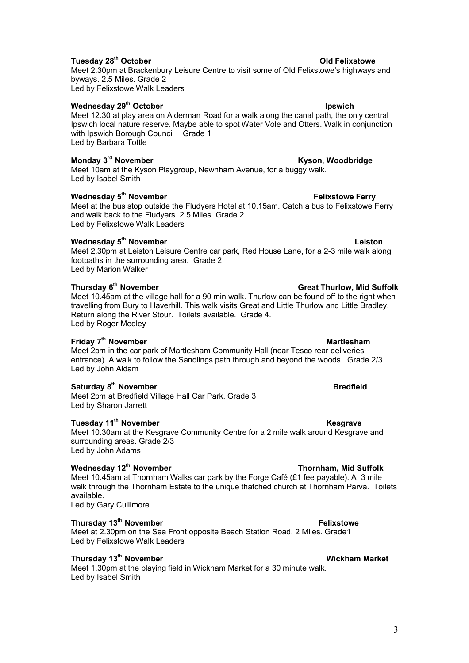# **Tuesday 28<sup>th</sup> October Contract Contract Contract Contract Contract Contract Contract Contract Contract Contract Contract Contract Contract Contract Contract Contract Contract Contract Contract Contract Contract Contract**

Meet 2.30pm at Brackenbury Leisure Centre to visit some of Old Felixstowe's highways and byways. 2.5 Miles. Grade 2 Led by Felixstowe Walk Leaders

### **Wednesday 29<sup>th</sup> October Ipswich** Ipswich

Meet 12.30 at play area on Alderman Road for a walk along the canal path, the only central Ipswich local nature reserve. Maybe able to spot Water Vole and Otters. Walk in conjunction with Ipswich Borough Council Grade 1 Led by Barbara Tottle

### **Monday 3**

**Kyson, Woodbridge** Meet 10am at the Kyson Playgroup, Newnham Avenue, for a buggy walk. Led by Isabel Smith

### **Wednesday 5**

Meet at the bus stop outside the Fludyers Hotel at 10.15am. Catch a bus to Felixstowe Ferry and walk back to the Fludyers. 2.5 Miles. Grade 2 Led by Felixstowe Walk Leaders

### **Wednesday 5 th November Leiston**

Meet 2.30pm at Leiston Leisure Centre car park, Red House Lane, for a 2-3 mile walk along footpaths in the surrounding area. Grade 2 Led by Marion Walker

### **Thursday 6**

Meet 10.45am at the village hall for a 90 min walk. Thurlow can be found off to the right when travelling from Bury to Haverhill. This walk visits Great and Little Thurlow and Little Bradley. Return along the River Stour. Toilets available. Grade 4. Led by Roger Medley

### **Friday 7 th November Martlesham**

Meet 2pm in the car park of Martlesham Community Hall (near Tesco rear deliveries entrance). A walk to follow the Sandlings path through and beyond the woods. Grade 2/3 Led by John Aldam

# **Saturday 8 th November Bredfield**

Meet 2pm at Bredfield Village Hall Car Park. Grade 3 Led by Sharon Jarrett

### **Tuesday 11th November Kesgrave**

Meet 10.30am at the Kesgrave Community Centre for a 2 mile walk around Kesgrave and surrounding areas. Grade 2/3 Led by John Adams

# Wednesday 12<sup>th</sup> November **Thornham, Mid Suffolk**

Meet 10.45am at Thornham Walks car park by the Forge Café ( $£1$  fee payable). A 3 mile walk through the Thornham Estate to the unique thatched church at Thornham Parva. Toilets available.

Led by Gary Cullimore

# **Thursday 13<sup>th</sup> November <b>Felixstowe** Felixstowe

Meet at 2.30pm on the Sea Front opposite Beach Station Road. 2 Miles. Grade1 Led by Felixstowe Walk Leaders

### **Thursday 13<sup>th</sup> November Wickham Market**

Meet 1.30pm at the playing field in Wickham Market for a 30 minute walk. Led by Isabel Smith

# **Felixstowe Ferry**

**Great Thurlow, Mid Suffolk**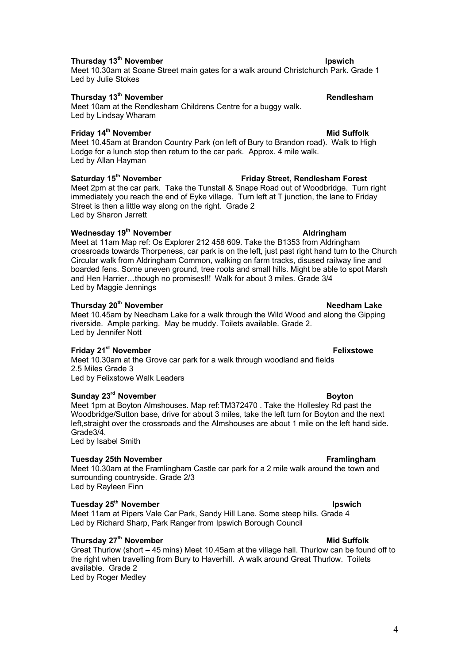### **Thursday 13 th November Ipswich**

### Meet 10.30am at Soane Street main gates for a walk around Christchurch Park. Grade 1 Led by Julie Stokes

### **Thursday 13th November Rendlesham**

### Meet 10am at the Rendlesham Childrens Centre for a buggy walk. Led by Lindsay Wharam

### **Friday 14th November Mid Suffolk**

Meet 10.45am at Brandon Country Park (on left of Bury to Brandon road). Walk to High Lodge for a lunch stop then return to the car park. Approx. 4 mile walk. Led by Allan Hayman

# **Saturday 15th November Friday Street, Rendlesham Forest**

Meet 2pm at the car park. Take the Tunstall & Snape Road out of Woodbridge. Turn right immediately you reach the end of Eyke village. Turn left at T junction, the lane to Friday Street is then a little way along on the right. Grade 2 Led by Sharon Jarrett

### **Wednesday 19th November Aldringham**

Meet at 11am Map ref: Os Explorer 212 458 609. Take the B1353 from Aldringham crossroads towards Thorpeness, car park is on the left, just past right hand turn to the Church Circular walk from Aldringham Common, walking on farm tracks, disused railway line and boarded fens. Some uneven ground, tree roots and small hills. Might be able to spot Marsh and Hen Harrier…though no promises!!! Walk for about 3 miles. Grade 3/4 Led by Maggie Jennings

### **Thursday 20th November Needham Lake**

Meet 10.45am by Needham Lake for a walk through the Wild Wood and along the Gipping riverside. Ample parking. May be muddy. Toilets available. Grade 2. Led by Jennifer Nott

### **Friday 21st November Felixstowe**

Meet 10.30am at the Grove car park for a walk through woodland and fields 2.5 Miles Grade 3 Led by Felixstowe Walk Leaders

### **Sunday 23rd November Boyton**

Meet 1pm at Boyton Almshouses. Map ref:TM372470 . Take the Hollesley Rd past the Woodbridge/Sutton base, drive for about 3 miles, take the left turn for Boyton and the next left,straight over the crossroads and the Almshouses are about 1 mile on the left hand side. Grade3/4. Led by Isabel Smith

### **Tuesday 25th November Framlingham**

Meet 10.30am at the Framlingham Castle car park for a 2 mile walk around the town and surrounding countryside. Grade 2/3 Led by Rayleen Finn

### **Tuesday 25<sup>th</sup> November Institute Controllering Controllering Controllering Controllering Controllering Controllering Controllering Controllering Controllering Controllering Controllering Controllering Controllering Contr**

Meet 11am at Pipers Vale Car Park, Sandy Hill Lane. Some steep hills. Grade 4 Led by Richard Sharp, Park Ranger from Ipswich Borough Council

# **Thursday 27th November Mid Suffolk**

Great Thurlow (short – 45 mins) Meet 10.45am at the village hall. Thurlow can be found off to the right when travelling from Bury to Haverhill. A walk around Great Thurlow. Toilets available. Grade 2 Led by Roger Medley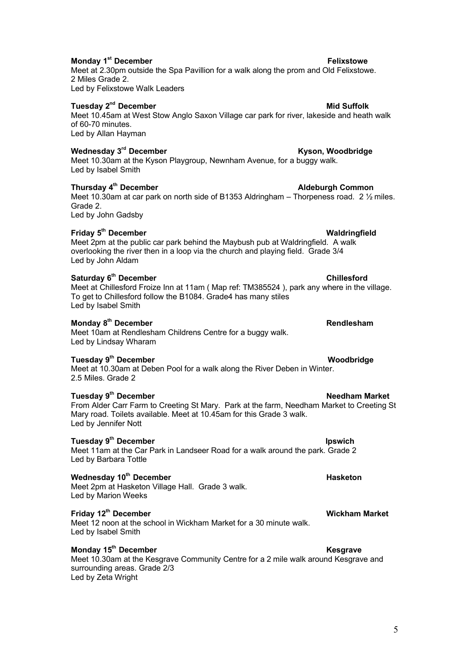### **Monday 1 st December Felixstowe**

Meet at 2.30pm outside the Spa Pavillion for a walk along the prom and Old Felixstowe. 2 Miles Grade 2. Led by Felixstowe Walk Leaders

# $\blacksquare$ Tuesday 2 $\blacksquare$ <sup>nd</sup> December Mid Suffolk

Meet 10.45am at West Stow Anglo Saxon Village car park for river, lakeside and heath walk of 60-70 minutes. Led by Allan Hayman

### **Wednesday 3**

Meet 10.30am at the Kyson Playgroup, Newnham Avenue, for a buggy walk. Led by Isabel Smith

# **Thursday 4**

Meet 10.30am at car park on north side of B1353 Aldringham – Thorpeness road. 2  $\frac{1}{2}$  miles. Grade 2. Led by John Gadsby

# **Friday 5 th December Waldringfield**

Meet 2pm at the public car park behind the Maybush pub at Waldringfield. A walk overlooking the river then in a loop via the church and playing field. Grade 3/4 Led by John Aldam

### **Saturday 6 th December Chillesford**

Meet at Chillesford Froize Inn at 11am ( Map ref: TM385524 ), park any where in the village. To get to Chillesford follow the B1084. Grade4 has many stiles Led by Isabel Smith

### **Monday 8 th December Rendlesham**

### Meet 10am at Rendlesham Childrens Centre for a buggy walk. Led by Lindsay Wharam

### **Tuesday 9 th December Woodbridge**

Meet at 10.30am at Deben Pool for a walk along the River Deben in Winter. 2.5 Miles. Grade 2

# **Tuesday 9**

From Alder Carr Farm to Creeting St Mary. Park at the farm, Needham Market to Creeting St Mary road. Toilets available. Meet at 10.45am for this Grade 3 walk. Led by Jennifer Nott

### **Tuesday 9 th December Ipswich**

### Meet 11am at the Car Park in Landseer Road for a walk around the park. Grade 2 Led by Barbara Tottle

### **Wednesday 10<sup>th</sup> December <b>Hasketon Hasketon**

Meet 2pm at Hasketon Village Hall. Grade 3 walk. Led by Marion Weeks

### **Friday 12th December Wickham Market**

Meet 12 noon at the school in Wickham Market for a 30 minute walk. Led by Isabel Smith

# **Monday 15<sup>th</sup> December Kesgrave**

Meet 10.30am at the Kesgrave Community Centre for a 2 mile walk around Kesgrave and surrounding areas. Grade 2/3 Led by Zeta Wright

**Kyson, Woodbridge** 

**Aldeburgh Common** 

# **th December Needham Market**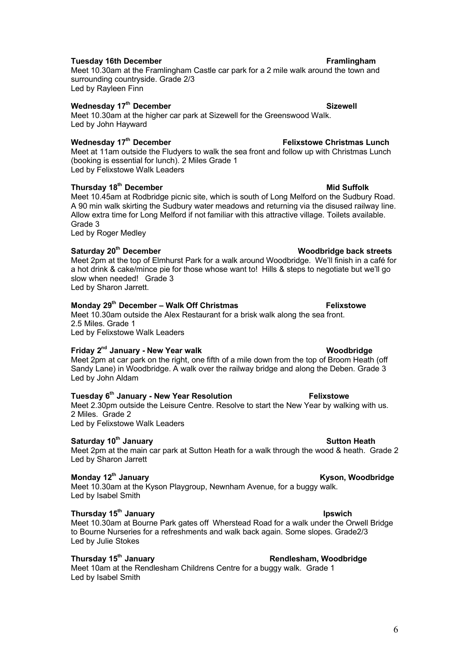### **Tuesday 16th December Frame and Security Contract Contract Present Contract Pramingham**

Meet 10.30am at the Framlingham Castle car park for a 2 mile walk around the town and surrounding countryside. Grade 2/3 Led by Rayleen Finn

### **Wednesday 17th December Sizewell**

Meet 10.30am at the higher car park at Sizewell for the Greenswood Walk. Led by John Hayward

### **Wednesday 17th December Felixstowe Christmas Lunch**

Meet at 11am outside the Fludyers to walk the sea front and follow up with Christmas Lunch (booking is essential for lunch). 2 Miles Grade 1 Led by Felixstowe Walk Leaders

# **Thursday 18<sup>th</sup> December Mid Suffolk**

Meet 10.45am at Rodbridge picnic site, which is south of Long Melford on the Sudbury Road. A 90 min walk skirting the Sudbury water meadows and returning via the disused railway line. Allow extra time for Long Melford if not familiar with this attractive village. Toilets available. Grade 3 Led by Roger Medley

# **Saturday 20th December Woodbridge back streets** Meet 2pm at the top of Elmhurst Park for a walk around Woodbridge. We'll finish in a café for a hot drink & cake/mince pie for those whose want to! Hills & steps to negotiate but we'll go slow when needed! Grade 3

Led by Sharon Jarrett.

# **Monday 29<sup>th</sup> December – Walk Off Christmas <b>Felixstowe**

### Meet 10.30am outside the Alex Restaurant for a brisk walk along the sea front. 2.5 Miles. Grade 1 Led by Felixstowe Walk Leaders

# **Friday 2 nd January - New Year walk Woodbridge**

Meet 2pm at car park on the right, one fifth of a mile down from the top of Broom Heath (off Sandy Lane) in Woodbridge. A walk over the railway bridge and along the Deben. Grade 3 Led by John Aldam

# **Tuesday 6 th January - New Year Resolution Felixstowe**

Meet 2.30pm outside the Leisure Centre. Resolve to start the New Year by walking with us. 2 Miles. Grade 2

Led by Felixstowe Walk Leaders

# **Saturday 10<sup>th</sup> January Sutton Heath** Sutton Heath

Meet 2pm at the main car park at Sutton Heath for a walk through the wood & heath. Grade 2 Led by Sharon Jarrett

### **Monday 12<sup>th</sup> January <b>Kyson, Woodbridge Kyson, Woodbridge**

Meet 10.30am at the Kyson Playgroup, Newnham Avenue, for a buggy walk. Led by Isabel Smith

### **Thursday 15th January Ipswich**

Meet 10.30am at Bourne Park gates off Wherstead Road for a walk under the Orwell Bridge to Bourne Nurseries for a refreshments and walk back again. Some slopes. Grade2/3 Led by Julie Stokes

# **Thursday 15th January Rendlesham, Woodbridge**

Meet 10am at the Rendlesham Childrens Centre for a buggy walk. Grade 1 Led by Isabel Smith